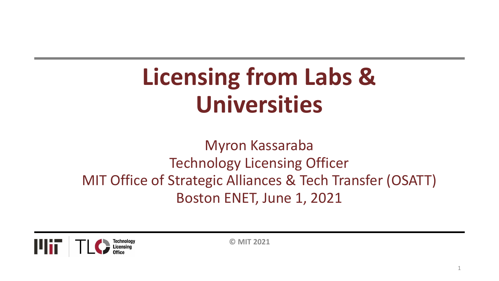# **Licensing from Labs & Universities**

Myron Kassaraba Technology Licensing Officer MIT Office of Strategic Alliances & Tech Transfer (OSATT) Boston ENET, June 1, 2021



**© MIT 2021**

1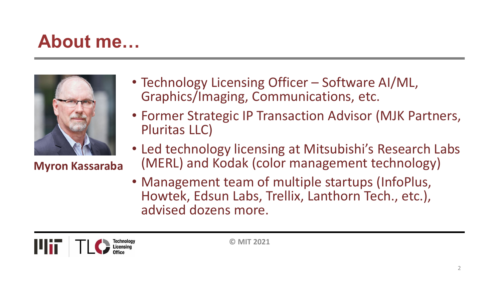### **About me…**



**Myron Kassaraba**

- Technology Licensing Officer Software AI/ML, Graphics/Imaging, Communications, etc.
- Former Strategic IP Transaction Advisor (MJK Partners, Pluritas LLC)
- Led technology licensing at Mitsubishi's Research Labs (MERL) and Kodak (color management technology)
- Management team of multiple startups (InfoPlus, Howtek, Edsun Labs, Trellix, Lanthorn Tech., etc.), advised dozens more.

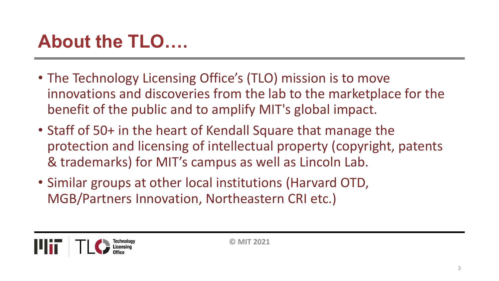# **About the TLO….**

- The Technology Licensing Office's (TLO) mission is to move innovations and discoveries from the lab to the marketplace for the benefit of the public and to amplify MIT's global impact.
- Staff of 50+ in the heart of Kendall Square that manage the protection and licensing of intellectual property (copyright, patents & trademarks) for MIT's campus as well as Lincoln Lab.
- Similar groups at other local institutions (Harvard OTD, MGB/Partners Innovation, Northeastern CRI etc.)

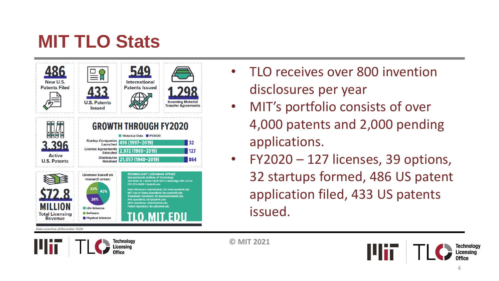# **MIT TLO Stats**

| New U.S.<br><b>Patents Filed</b>                                                                       | <b>U.S. Patents</b><br><b>Issued</b>                                                                                             | <b>International</b><br><b>Patents Issued</b>                                                                                                                                                                                                                                                                                                                                                                                                                                        | <b>Incoming Material</b><br><b>Transfer Agreements</b> |
|--------------------------------------------------------------------------------------------------------|----------------------------------------------------------------------------------------------------------------------------------|--------------------------------------------------------------------------------------------------------------------------------------------------------------------------------------------------------------------------------------------------------------------------------------------------------------------------------------------------------------------------------------------------------------------------------------------------------------------------------------|--------------------------------------------------------|
| 3.396<br><b>Active</b><br><b>U.S. Patents</b>                                                          |                                                                                                                                  | <b>GROWTH THROUGH FY2020</b><br>Historical Data FY2020<br>Startup Companies 496 (1997-2019)<br>License Agreements 2,972 (1960-2019)<br>Disclosures 21,057 (1940-2019)                                                                                                                                                                                                                                                                                                                | 32<br>127<br>864                                       |
| 72.8<br><b>MILLION</b><br><b>Total Licensing</b><br><b>Revenue</b><br>Data current as of December 2020 | <b>Licenses based on</b><br>research areas:<br>32%<br>42%<br>26%<br><b>Life Sciences</b><br><b>Software</b><br>Physical Sciences | <b>TECHNOLOGY LICENSING OFFICE</b><br><b>Massachusetts Institute of Technology</b><br>255 Main St.   Room NE18-501   Cambridge, MA 02142<br>617-253-6966   tlo@mit.edu<br>New Disclosure Submissions: tlo-newcase@mit.edu<br><b>MIT Use of Name Questions: tio-uon@mit.edu</b><br>Trademark Questions: tlo-trademarks@mit.edu<br><b>IPIA Questions: tlo-ipia@mit.edu</b><br><b>MTA Questions: mtainfo@mit.edu</b><br><b>Patent Questions: tio-atto@mit.edu</b><br><b>TLO.MIT.EDU</b> |                                                        |

- TLO receives over 800 invention disclosures per year
- MIT's portfolio consists of over 4,000 patents and 2,000 pending applications.
- FY2020 127 licenses, 39 options, 32 startups formed, 486 US patent application filed, 433 US patents issued.



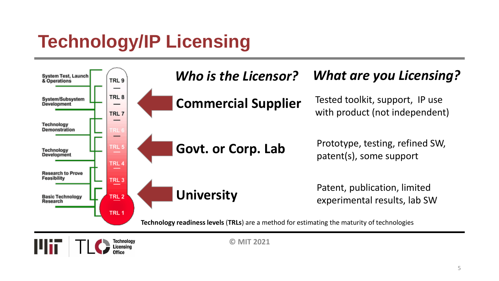# **Technology/IP Licensing**

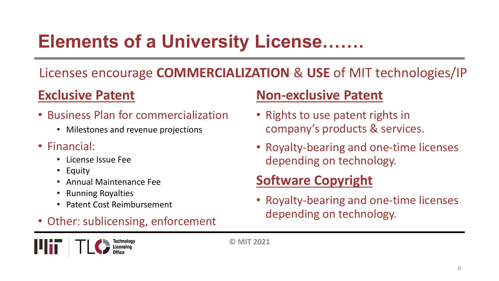# **Elements of a University License…….**

#### Licenses encourage **COMMERCIALIZATION** & **USE** of MIT technologies/IP

#### **Exclusive Patent**

- Business Plan for commercialization
	- Milestones and revenue projections
- Financial:
	- License Issue Fee
	- Equity
	- Annual Maintenance Fee
	- Running Royalties
	- Patent Cost Reimbursement
- Other: sublicensing, enforcement

#### **Non-exclusive Patent**

- Rights to use patent rights in company's products & services.
- Royalty-bearing and one-time licenses depending on technology.

#### **Software Copyright**

• Royalty-bearing and one-time licenses depending on technology.

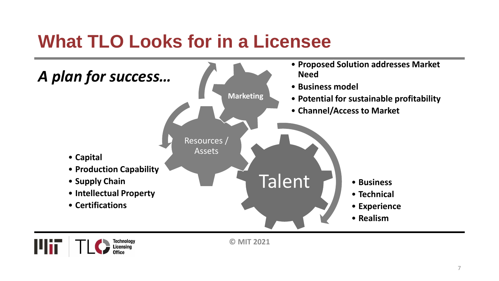### **What TLO Looks for in a Licensee**





**© MIT 2021**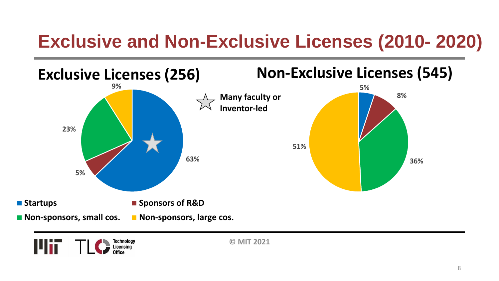# **Exclusive and Non-Exclusive Licenses (2010- 2020)**



![](_page_7_Picture_2.jpeg)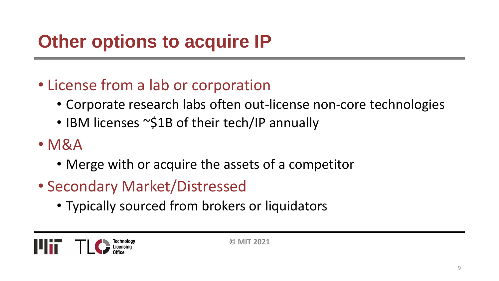# **Other options to acquire IP**

#### • License from a lab or corporation

- Corporate research labs often out-license non-core technologies
- IBM licenses ~\$1B of their tech/IP annually
- M&A
	- Merge with or acquire the assets of a competitor
- Secondary Market/Distressed
	- Typically sourced from brokers or liquidators

![](_page_8_Picture_8.jpeg)